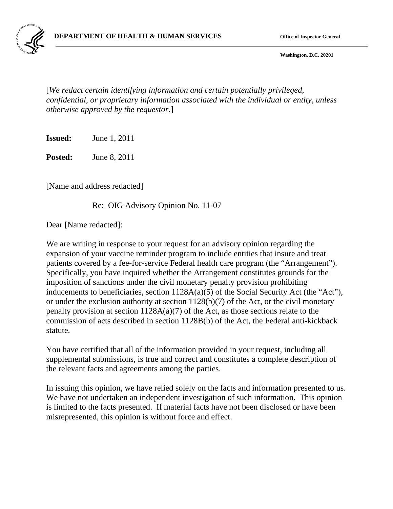



**Washington, D.C. 20201** 

[*We redact certain identifying information and certain potentially privileged, confidential, or proprietary information associated with the individual or entity, unless otherwise approved by the requestor.*]

**Issued:** June 1, 2011

**Posted:** June 8, 2011

[Name and address redacted]

Re: OIG Advisory Opinion No. 11-07

Dear [Name redacted]:

We are writing in response to your request for an advisory opinion regarding the expansion of your vaccine reminder program to include entities that insure and treat patients covered by a fee-for-service Federal health care program (the "Arrangement"). Specifically, you have inquired whether the Arrangement constitutes grounds for the imposition of sanctions under the civil monetary penalty provision prohibiting inducements to beneficiaries, section 1128A(a)(5) of the Social Security Act (the "Act"), or under the exclusion authority at section 1128(b)(7) of the Act, or the civil monetary penalty provision at section 1128A(a)(7) of the Act, as those sections relate to the commission of acts described in section 1128B(b) of the Act, the Federal anti-kickback statute.

You have certified that all of the information provided in your request, including all supplemental submissions, is true and correct and constitutes a complete description of the relevant facts and agreements among the parties.

In issuing this opinion, we have relied solely on the facts and information presented to us. We have not undertaken an independent investigation of such information. This opinion is limited to the facts presented. If material facts have not been disclosed or have been misrepresented, this opinion is without force and effect.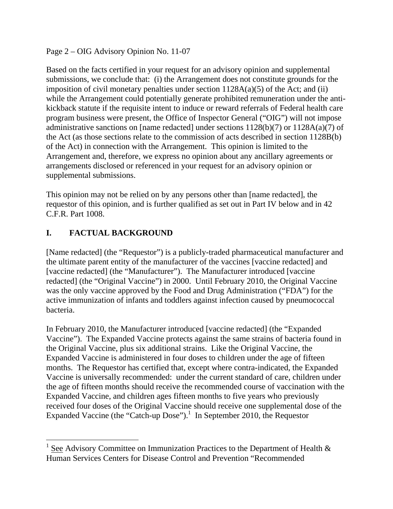Page 2 – OIG Advisory Opinion No. 11-07

Based on the facts certified in your request for an advisory opinion and supplemental submissions, we conclude that: (i) the Arrangement does not constitute grounds for the imposition of civil monetary penalties under section  $1128A(a)(5)$  of the Act; and (ii) while the Arrangement could potentially generate prohibited remuneration under the antikickback statute if the requisite intent to induce or reward referrals of Federal health care program business were present, the Office of Inspector General ("OIG") will not impose administrative sanctions on [name redacted] under sections 1128(b)(7) or 1128A(a)(7) of the Act (as those sections relate to the commission of acts described in section 1128B(b) of the Act) in connection with the Arrangement. This opinion is limited to the Arrangement and, therefore, we express no opinion about any ancillary agreements or arrangements disclosed or referenced in your request for an advisory opinion or supplemental submissions.

This opinion may not be relied on by any persons other than [name redacted], the requestor of this opinion, and is further qualified as set out in Part IV below and in 42 C.F.R. Part 1008.

## **I. FACTUAL BACKGROUND**

 $\overline{a}$ 

[Name redacted] (the "Requestor") is a publicly-traded pharmaceutical manufacturer and the ultimate parent entity of the manufacturer of the vaccines [vaccine redacted] and [vaccine redacted] (the "Manufacturer"). The Manufacturer introduced [vaccine redacted] (the "Original Vaccine") in 2000. Until February 2010, the Original Vaccine was the only vaccine approved by the Food and Drug Administration ("FDA") for the active immunization of infants and toddlers against infection caused by pneumococcal bacteria.

In February 2010, the Manufacturer introduced [vaccine redacted] (the "Expanded Vaccine"). The Expanded Vaccine protects against the same strains of bacteria found in the Original Vaccine, plus six additional strains. Like the Original Vaccine, the Expanded Vaccine is administered in four doses to children under the age of fifteen months. The Requestor has certified that, except where contra-indicated, the Expanded Vaccine is universally recommended: under the current standard of care, children under the age of fifteen months should receive the recommended course of vaccination with the Expanded Vaccine, and children ages fifteen months to five years who previously received four doses of the Original Vaccine should receive one supplemental dose of the Expanded Vaccine (the "Catch-up Dose").<sup>1</sup> In September 2010, the Requestor

<sup>&</sup>lt;sup>1</sup> See Advisory Committee on Immunization Practices to the Department of Health  $\&$ Human Services Centers for Disease Control and Prevention "Recommended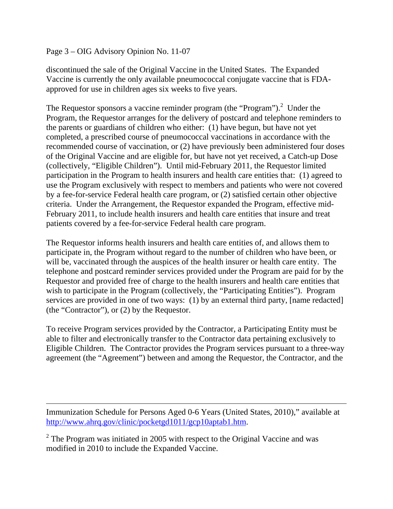#### Page 3 – OIG Advisory Opinion No. 11-07

 $\overline{a}$ 

discontinued the sale of the Original Vaccine in the United States. The Expanded Vaccine is currently the only available pneumococcal conjugate vaccine that is FDAapproved for use in children ages six weeks to five years.

The Requestor sponsors a vaccine reminder program (the "Program").<sup>2</sup> Under the Program, the Requestor arranges for the delivery of postcard and telephone reminders to the parents or guardians of children who either: (1) have begun, but have not yet completed, a prescribed course of pneumococcal vaccinations in accordance with the recommended course of vaccination, or (2) have previously been administered four doses of the Original Vaccine and are eligible for, but have not yet received, a Catch-up Dose (collectively, "Eligible Children"). Until mid-February 2011, the Requestor limited participation in the Program to health insurers and health care entities that: (1) agreed to use the Program exclusively with respect to members and patients who were not covered by a fee-for-service Federal health care program, or (2) satisfied certain other objective criteria. Under the Arrangement, the Requestor expanded the Program, effective mid-February 2011, to include health insurers and health care entities that insure and treat patients covered by a fee-for-service Federal health care program.

The Requestor informs health insurers and health care entities of, and allows them to participate in, the Program without regard to the number of children who have been, or will be, vaccinated through the auspices of the health insurer or health care entity. The telephone and postcard reminder services provided under the Program are paid for by the Requestor and provided free of charge to the health insurers and health care entities that wish to participate in the Program (collectively, the "Participating Entities"). Program services are provided in one of two ways: (1) by an external third party, [name redacted] (the "Contractor"), or (2) by the Requestor.

To receive Program services provided by the Contractor, a Participating Entity must be able to filter and electronically transfer to the Contractor data pertaining exclusively to Eligible Children. The Contractor provides the Program services pursuant to a three-way agreement (the "Agreement") between and among the Requestor, the Contractor, and the

Immunization Schedule for Persons Aged 0-6 Years (United States, 2010)," available at http://www.ahrq.gov/clinic/pocketgd1011/gcp10aptab1.htm.

 $2$  The Program was initiated in 2005 with respect to the Original Vaccine and was modified in 2010 to include the Expanded Vaccine.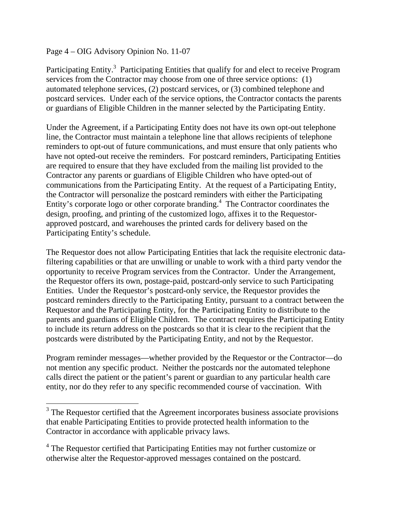#### Page 4 – OIG Advisory Opinion No. 11-07

 $\overline{a}$ 

Participating Entity.<sup>3</sup> Participating Entities that qualify for and elect to receive Program services from the Contractor may choose from one of three service options: (1) automated telephone services, (2) postcard services, or (3) combined telephone and postcard services. Under each of the service options, the Contractor contacts the parents or guardians of Eligible Children in the manner selected by the Participating Entity.

Under the Agreement, if a Participating Entity does not have its own opt-out telephone line, the Contractor must maintain a telephone line that allows recipients of telephone reminders to opt-out of future communications, and must ensure that only patients who have not opted-out receive the reminders. For postcard reminders, Participating Entities are required to ensure that they have excluded from the mailing list provided to the Contractor any parents or guardians of Eligible Children who have opted-out of communications from the Participating Entity. At the request of a Participating Entity, the Contractor will personalize the postcard reminders with either the Participating Entity's corporate  $logo$  or other corporate branding.<sup>4</sup> The Contractor coordinates the design, proofing, and printing of the customized logo, affixes it to the Requestorapproved postcard, and warehouses the printed cards for delivery based on the Participating Entity's schedule.

The Requestor does not allow Participating Entities that lack the requisite electronic datafiltering capabilities or that are unwilling or unable to work with a third party vendor the opportunity to receive Program services from the Contractor. Under the Arrangement, the Requestor offers its own, postage-paid, postcard-only service to such Participating Entities. Under the Requestor's postcard-only service, the Requestor provides the postcard reminders directly to the Participating Entity, pursuant to a contract between the Requestor and the Participating Entity, for the Participating Entity to distribute to the parents and guardians of Eligible Children. The contract requires the Participating Entity to include its return address on the postcards so that it is clear to the recipient that the postcards were distributed by the Participating Entity, and not by the Requestor.

Program reminder messages—whether provided by the Requestor or the Contractor—do not mention any specific product. Neither the postcards nor the automated telephone calls direct the patient or the patient's parent or guardian to any particular health care entity, nor do they refer to any specific recommended course of vaccination. With

 $3$  The Requestor certified that the Agreement incorporates business associate provisions that enable Participating Entities to provide protected health information to the Contractor in accordance with applicable privacy laws.

<sup>&</sup>lt;sup>4</sup> The Requestor certified that Participating Entities may not further customize or otherwise alter the Requestor-approved messages contained on the postcard.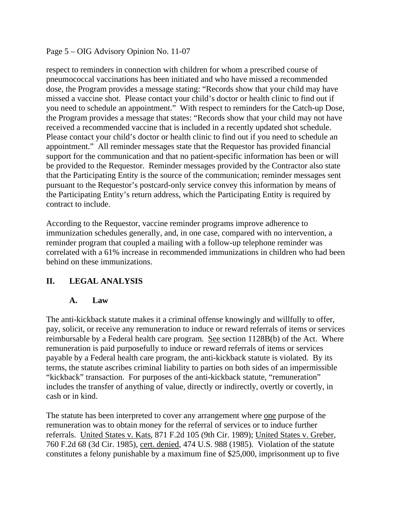### Page 5 – OIG Advisory Opinion No. 11-07

respect to reminders in connection with children for whom a prescribed course of pneumococcal vaccinations has been initiated and who have missed a recommended dose, the Program provides a message stating: "Records show that your child may have missed a vaccine shot. Please contact your child's doctor or health clinic to find out if you need to schedule an appointment." With respect to reminders for the Catch-up Dose, the Program provides a message that states: "Records show that your child may not have received a recommended vaccine that is included in a recently updated shot schedule. Please contact your child's doctor or health clinic to find out if you need to schedule an appointment." All reminder messages state that the Requestor has provided financial support for the communication and that no patient-specific information has been or will be provided to the Requestor. Reminder messages provided by the Contractor also state that the Participating Entity is the source of the communication; reminder messages sent pursuant to the Requestor's postcard-only service convey this information by means of the Participating Entity's return address, which the Participating Entity is required by contract to include.

According to the Requestor, vaccine reminder programs improve adherence to immunization schedules generally, and, in one case, compared with no intervention, a reminder program that coupled a mailing with a follow-up telephone reminder was correlated with a 61% increase in recommended immunizations in children who had been behind on these immunizations.

## **II. LEGAL ANALYSIS**

### **A. Law**

The anti-kickback statute makes it a criminal offense knowingly and willfully to offer, pay, solicit, or receive any remuneration to induce or reward referrals of items or services reimbursable by a Federal health care program. See section 1128B(b) of the Act. Where remuneration is paid purposefully to induce or reward referrals of items or services payable by a Federal health care program, the anti-kickback statute is violated. By its terms, the statute ascribes criminal liability to parties on both sides of an impermissible "kickback" transaction. For purposes of the anti-kickback statute, "remuneration" includes the transfer of anything of value, directly or indirectly, overtly or covertly, in cash or in kind.

The statute has been interpreted to cover any arrangement where <u>one</u> purpose of the remuneration was to obtain money for the referral of services or to induce further referrals. United States v. Kats, 871 F.2d 105 (9th Cir. 1989); United States v. Greber, 760 F.2d 68 (3d Cir. 1985), cert. denied, 474 U.S. 988 (1985). Violation of the statute constitutes a felony punishable by a maximum fine of \$25,000, imprisonment up to five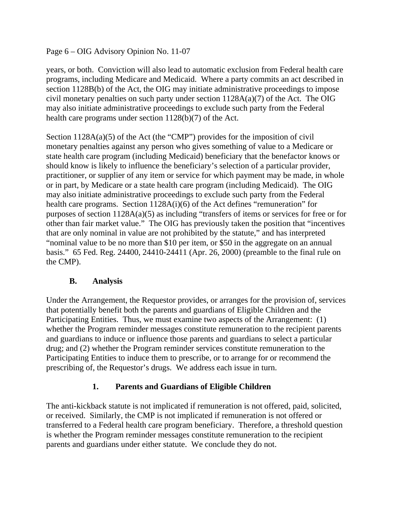Page 6 – OIG Advisory Opinion No. 11-07

years, or both. Conviction will also lead to automatic exclusion from Federal health care programs, including Medicare and Medicaid. Where a party commits an act described in section 1128B(b) of the Act, the OIG may initiate administrative proceedings to impose civil monetary penalties on such party under section  $1128A(a)(7)$  of the Act. The OIG may also initiate administrative proceedings to exclude such party from the Federal health care programs under section 1128(b)(7) of the Act.

Section  $1128A(a)(5)$  of the Act (the "CMP") provides for the imposition of civil monetary penalties against any person who gives something of value to a Medicare or state health care program (including Medicaid) beneficiary that the benefactor knows or should know is likely to influence the beneficiary's selection of a particular provider, practitioner, or supplier of any item or service for which payment may be made, in whole or in part, by Medicare or a state health care program (including Medicaid). The OIG may also initiate administrative proceedings to exclude such party from the Federal health care programs. Section 1128A(i)(6) of the Act defines "remuneration" for purposes of section 1128A(a)(5) as including "transfers of items or services for free or for other than fair market value." The OIG has previously taken the position that "incentives that are only nominal in value are not prohibited by the statute," and has interpreted "nominal value to be no more than \$10 per item, or \$50 in the aggregate on an annual basis." 65 Fed. Reg. 24400, 24410-24411 (Apr. 26, 2000) (preamble to the final rule on the CMP).

### **B. Analysis**

Under the Arrangement, the Requestor provides, or arranges for the provision of, services that potentially benefit both the parents and guardians of Eligible Children and the Participating Entities. Thus, we must examine two aspects of the Arrangement: (1) whether the Program reminder messages constitute remuneration to the recipient parents and guardians to induce or influence those parents and guardians to select a particular drug; and (2) whether the Program reminder services constitute remuneration to the Participating Entities to induce them to prescribe, or to arrange for or recommend the prescribing of, the Requestor's drugs. We address each issue in turn.

## **1. Parents and Guardians of Eligible Children**

The anti-kickback statute is not implicated if remuneration is not offered, paid, solicited, or received. Similarly, the CMP is not implicated if remuneration is not offered or transferred to a Federal health care program beneficiary. Therefore, a threshold question is whether the Program reminder messages constitute remuneration to the recipient parents and guardians under either statute. We conclude they do not.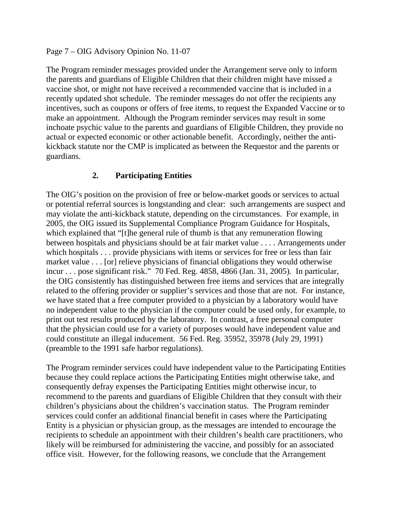#### Page 7 – OIG Advisory Opinion No. 11-07

The Program reminder messages provided under the Arrangement serve only to inform the parents and guardians of Eligible Children that their children might have missed a vaccine shot, or might not have received a recommended vaccine that is included in a recently updated shot schedule. The reminder messages do not offer the recipients any incentives, such as coupons or offers of free items, to request the Expanded Vaccine or to make an appointment. Although the Program reminder services may result in some inchoate psychic value to the parents and guardians of Eligible Children, they provide no actual or expected economic or other actionable benefit. Accordingly, neither the antikickback statute nor the CMP is implicated as between the Requestor and the parents or guardians.

### **2. Participating Entities**

The OIG's position on the provision of free or below-market goods or services to actual or potential referral sources is longstanding and clear: such arrangements are suspect and may violate the anti-kickback statute, depending on the circumstances. For example, in 2005, the OIG issued its Supplemental Compliance Program Guidance for Hospitals, which explained that "[t]he general rule of thumb is that any remuneration flowing between hospitals and physicians should be at fair market value . . . . Arrangements under which hospitals . . . provide physicians with items or services for free or less than fair market value . . . [or] relieve physicians of financial obligations they would otherwise incur . . . pose significant risk." 70 Fed. Reg. 4858, 4866 (Jan. 31, 2005). In particular, the OIG consistently has distinguished between free items and services that are integrally related to the offering provider or supplier's services and those that are not. For instance, we have stated that a free computer provided to a physician by a laboratory would have no independent value to the physician if the computer could be used only, for example, to print out test results produced by the laboratory. In contrast, a free personal computer that the physician could use for a variety of purposes would have independent value and could constitute an illegal inducement. 56 Fed. Reg. 35952, 35978 (July 29, 1991) (preamble to the 1991 safe harbor regulations).

The Program reminder services could have independent value to the Participating Entities because they could replace actions the Participating Entities might otherwise take, and consequently defray expenses the Participating Entities might otherwise incur, to recommend to the parents and guardians of Eligible Children that they consult with their children's physicians about the children's vaccination status. The Program reminder services could confer an additional financial benefit in cases where the Participating Entity is a physician or physician group, as the messages are intended to encourage the recipients to schedule an appointment with their children's health care practitioners, who likely will be reimbursed for administering the vaccine, and possibly for an associated office visit. However, for the following reasons, we conclude that the Arrangement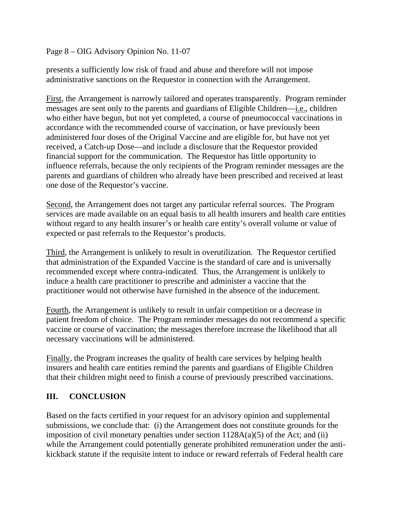#### Page 8 – OIG Advisory Opinion No. 11-07

presents a sufficiently low risk of fraud and abuse and therefore will not impose administrative sanctions on the Requestor in connection with the Arrangement.

First, the Arrangement is narrowly tailored and operates transparently. Program reminder messages are sent only to the parents and guardians of Eligible Children—i.e., children who either have begun, but not yet completed, a course of pneumococcal vaccinations in accordance with the recommended course of vaccination, or have previously been administered four doses of the Original Vaccine and are eligible for, but have not yet received, a Catch-up Dose—and include a disclosure that the Requestor provided financial support for the communication. The Requestor has little opportunity to influence referrals, because the only recipients of the Program reminder messages are the parents and guardians of children who already have been prescribed and received at least one dose of the Requestor's vaccine.

Second, the Arrangement does not target any particular referral sources. The Program services are made available on an equal basis to all health insurers and health care entities without regard to any health insurer's or health care entity's overall volume or value of expected or past referrals to the Requestor's products.

Third, the Arrangement is unlikely to result in overutilization. The Requestor certified that administration of the Expanded Vaccine is the standard of care and is universally recommended except where contra-indicated. Thus, the Arrangement is unlikely to induce a health care practitioner to prescribe and administer a vaccine that the practitioner would not otherwise have furnished in the absence of the inducement.

Fourth, the Arrangement is unlikely to result in unfair competition or a decrease in patient freedom of choice. The Program reminder messages do not recommend a specific vaccine or course of vaccination; the messages therefore increase the likelihood that all necessary vaccinations will be administered.

Finally, the Program increases the quality of health care services by helping health insurers and health care entities remind the parents and guardians of Eligible Children that their children might need to finish a course of previously prescribed vaccinations.

## **III. CONCLUSION**

Based on the facts certified in your request for an advisory opinion and supplemental submissions, we conclude that: (i) the Arrangement does not constitute grounds for the imposition of civil monetary penalties under section  $1128A(a)(5)$  of the Act; and (ii) while the Arrangement could potentially generate prohibited remuneration under the antikickback statute if the requisite intent to induce or reward referrals of Federal health care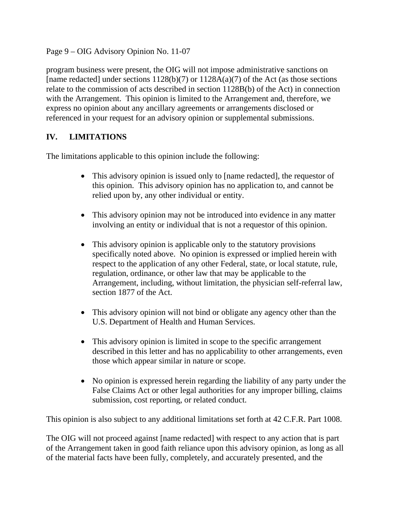Page 9 – OIG Advisory Opinion No. 11-07

program business were present, the OIG will not impose administrative sanctions on [name redacted] under sections  $1128(b)(7)$  or  $1128A(a)(7)$  of the Act (as those sections relate to the commission of acts described in section 1128B(b) of the Act) in connection with the Arrangement. This opinion is limited to the Arrangement and, therefore, we express no opinion about any ancillary agreements or arrangements disclosed or referenced in your request for an advisory opinion or supplemental submissions.

# **IV. LIMITATIONS**

The limitations applicable to this opinion include the following:

- This advisory opinion is issued only to [name redacted], the requestor of this opinion. This advisory opinion has no application to, and cannot be relied upon by, any other individual or entity.
- This advisory opinion may not be introduced into evidence in any matter involving an entity or individual that is not a requestor of this opinion.
- This advisory opinion is applicable only to the statutory provisions specifically noted above. No opinion is expressed or implied herein with respect to the application of any other Federal, state, or local statute, rule, regulation, ordinance, or other law that may be applicable to the Arrangement, including, without limitation, the physician self-referral law, section 1877 of the Act.
- This advisory opinion will not bind or obligate any agency other than the U.S. Department of Health and Human Services.
- This advisory opinion is limited in scope to the specific arrangement described in this letter and has no applicability to other arrangements, even those which appear similar in nature or scope.
- No opinion is expressed herein regarding the liability of any party under the False Claims Act or other legal authorities for any improper billing, claims submission, cost reporting, or related conduct.

This opinion is also subject to any additional limitations set forth at 42 C.F.R. Part 1008.

The OIG will not proceed against [name redacted] with respect to any action that is part of the Arrangement taken in good faith reliance upon this advisory opinion, as long as all of the material facts have been fully, completely, and accurately presented, and the